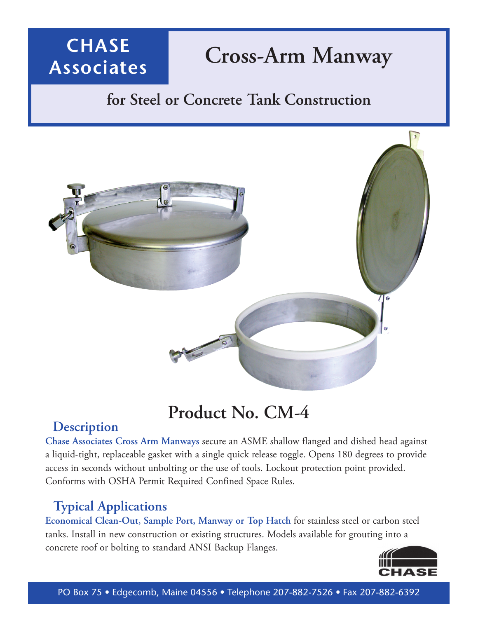# **Cross-Arm Manway**

### **for Steel or Concrete Tank Construction**



# **Product No. CM-4**

#### **Description**

**CHASE**

**Associates**

**Chase Associates Cross Arm Manways** secure an ASME shallow flanged and dished head against a liquid-tight, replaceable gasket with a single quick release toggle. Opens 180 degrees to provide access in seconds without unbolting or the use of tools. Lockout protection point provided. Conforms with OSHA Permit Required Confined Space Rules.

#### **Typical Applications**

**Economical Clean-Out, Sample Port, Manway or Top Hatch** for stainless steel or carbon steel tanks. Install in new construction or existing structures. Models available for grouting into a concrete roof or bolting to standard ANSI Backup Flanges.